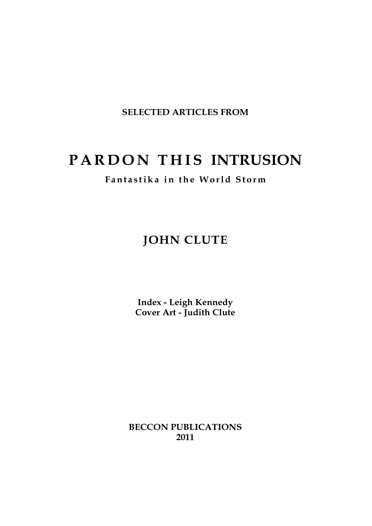**SELECTED ARTICLES FROM**

# **P A R D O N T H IS INTRUSION**

**Fant a s tika in the Wo rld Sto rm**

## **JOHN CLUTE**

**Index - Leigh Kennedy Cover Art - Judith Clute**

**BECCON PUBLICATIONS 2011**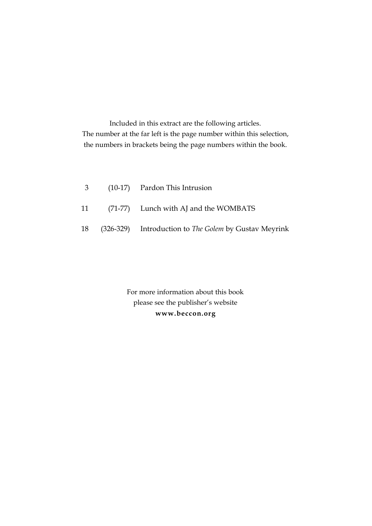Included in this extract are the following articles. The number at the far left is the page number within this selection, the numbers in brackets being the page numbers within the book.

|  | 3 (10-17) Pardon This Intrusion                                 |
|--|-----------------------------------------------------------------|
|  | 11 (71-77) Lunch with AJ and the WOMBATS                        |
|  | 18 (326-329) Introduction to <i>The Golem</i> by Gustav Meyrink |

For more information about this book please see the publisher's website **w w w . b e c c o n . o r g**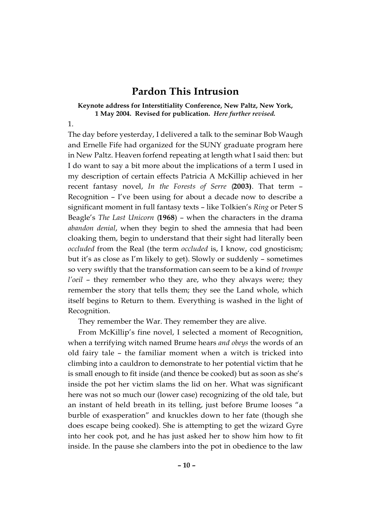## **Pardon This Intrusion**

#### **Keynote address for Interstitiality Conference, New Paltz, New York, 1 May 2004. Revised for publication.** *Here further revised.*

#### 1.

The day before yesterday, I delivered a talk to the seminar Bob Waugh and Ernelle Fife had organized for the SUNY graduate program here in New Paltz. Heaven forfend repeating at length what I said then: but I do want to say a bit more about the implications of a term I used in my description of certain effects Patricia A McKillip achieved in her recent fantasy novel, *In the Forests of Serre* (2003). That term -Recognition – I've been using for about a decade now to describe a significant moment in full fantasy texts – like Tolkien's *Ring* or Peter S Beagle's *The Last Unicorn* (**1 9 6 8**) – when the characters in the drama *abandon denial*, when they begin to shed the amnesia that had been cloaking them, begin to understand that their sight had literally been *occluded* from the Real (the term *occluded* is, I know, cod gnosticism; but it's as close as I'm likely to get). Slowly or suddenly – sometimes so very swiftly that the transformation can seem to be a kind of *trompe l'oeil* – they remember who they are, who they always were; they remember the story that tells them; they see the Land whole, which itself begins to Return to them. Everything is washed in the light of Recognition.

They remember the War. They remember they are alive.

From McKillip's fine novel, I selected a moment of Recognition, when a terrifying witch named Brume hears *and obeys* the words of an old fairy tale – the familiar moment when a witch is tricked into climbing into a cauldron to demonstrate to her potential victim that he is small enough to fit inside (and thence be cooked) but as soon as she's inside the pot her victim slams the lid on her. What was significant here was not so much our (lower case) recognizing of the old tale, but an instant of held breath in its telling, just before Brume looses "a burble of exasperation" and knuckles down to her fate (though she does escape being cooked). She is attempting to get the wizard Gyre into her cook pot, and he has just asked her to show him how to fit inside. In the pause she clambers into the pot in obedience to the law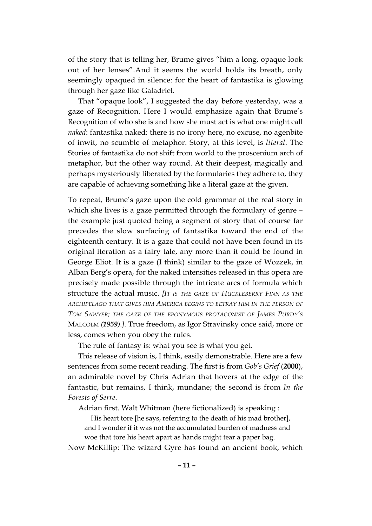of the story that is telling her, Brume gives "him a long, opaque look out of her lenses".And it seems the world holds its breath, only seemingly opaqued in silence: for the heart of fantastika is glowing through her gaze like Galadriel.

That "opaque look", I suggested the day before yesterday, was a gaze of Recognition. Here I would emphasize again that Brume's Recognition of who she is and how she must act is what one might call *naked*: fantastika naked: there is no irony here, no excuse, no agenbite of inwit, no scumble of metaphor. Story, at this level, is *literal*. The Stories of fantastika do not shift from world to the proscenium arch of metaphor, but the other way round. At their deepest, magically and perhaps mysteriously liberated by the formularies they adhere to, they are capable of achieving something like a literal gaze at the given.

To repeat, Brume's gaze upon the cold grammar of the real story in which she lives is a gaze permitted through the formulary of genre – the example just quoted being a segment of story that of course far precedes the slow surfacing of fantastika toward the end of the eighteenth century. It is a gaze that could not have been found in its original iteration as a fairy tale, any more than it could be found in George Eliot. It is a gaze (I think) similar to the gaze of Wozzek, in Alban Berg's opera, for the naked intensities released in this opera are precisely made possible through the intricate arcs of formula which structure the actual music. *[IT IS THE GAZE OF HUCKLEBERRY FINN AS THE ARCHIPELAGO THAT GIVES HIM AMERICA BEGINS TO BETRAY HIM IN THE PERSON OF TOM SAWYER; THE GAZE OF THE EPONYMOUS PROTAGONIST OF JAMES PURDY'S* MALCOLM *(1959).]*. True freedom, as Igor Stravinsky once said, more or less, comes when you obey the rules.

The rule of fantasy is: what you see is what you get.

This release of vision is, I think, easily demonstrable. Here are a few sentences from some recent reading. The first is from *Gob's Grief* (**2000**), an admirable novel by Chris Adrian that hovers at the edge of the fantastic, but remains, I think, mundane; the second is from *In the Forests of Serre*.

Adrian first. Walt Whitman (here fictionalized) is speaking :

His heart tore [he says, referring to the death of his mad brother], and I wonder if it was not the accumulated burden of madness and woe that tore his heart apart as hands might tear a paper bag.

Now McKillip: The wizard Gyre has found an ancient book, which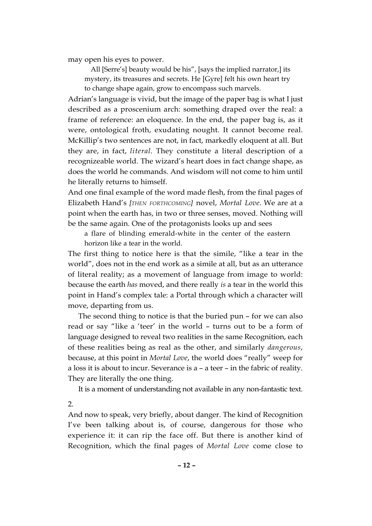may open his eyes to power.

All [Serre's] beauty would be his", [says the implied narrator,] its mystery, its treasures and secrets. He [Gyre] felt his own heart try to change shape again, grow to encompass such marvels.

Adrian's language is vivid, but the image of the paper bag is what I just described as a proscenium arch: something draped over the real: a frame of reference: an eloquence. In the end, the paper bag is, as it were, ontological froth, exudating nought. It cannot become real. McKillip's two sentences are not, in fact, markedly eloquent at all. But they are, in fact, *literal*. They constitute a literal description of a recognizeable world. The wizard's heart does in fact change shape, as does the world he commands. And wisdom will not come to him until he literally returns to himself.

And one final example of the word made flesh, from the final pages of Elizabeth Hand's *[THEN FORTHCOMING]* novel, *Mortal Love*. We are at a point when the earth has, in two or three senses, moved. Nothing will be the same again. One of the protagonists looks up and sees

a flare of blinding emerald-white in the center of the eastern horizon like a tear in the world.

The first thing to notice here is that the simile, "like a tear in the world", does not in the end work as a simile at all, but as an utterance of literal reality; as a movement of language from image to world: because the earth *has* moved, and there really *is* a tear in the world this point in Hand's complex tale: a Portal through which a character will move, departing from us.

The second thing to notice is that the buried pun – for we can also read or say "like a 'teer' in the world – turns out to be a form of language designed to reveal two realities in the same Recognition, each of these realities being as real as the other, and similarly *dangerous*, because, at this point in *Mortal Love*, the world does "really" weep for a loss it is about to incur. Severance is a – a teer – in the fabric of reality. They are literally the one thing.

It is a moment of understanding not available in any non-fantastic text.

2.

And now to speak, very briefly, about danger. The kind of Recognition I've been talking about is, of course, dangerous for those who experience it: it can rip the face off. But there is another kind of Recognition, which the final pages of *Mortal Love* come close to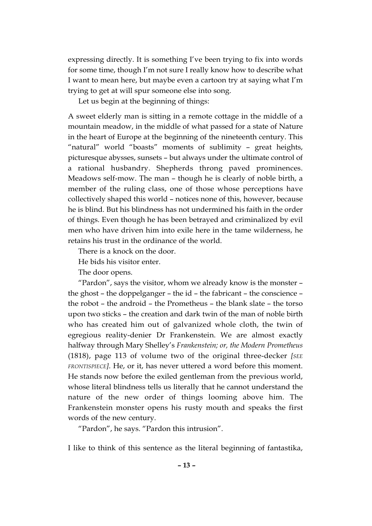expressing directly. It is something I've been trying to fix into words for some time, though I'm not sure I really know how to describe what I want to mean here, but maybe even a cartoon try at saying what I'm trying to get at will spur someone else into song.

Let us begin at the beginning of things:

A sweet elderly man is sitting in a remote cottage in the middle of a mountain meadow, in the middle of what passed for a state of Nature in the heart of Europe at the beginning of the nineteenth century. This "natural" world "boasts" moments of sublimity – great heights, picturesque abysses, sunsets – but always under the ultimate control of a rational husbandry. Shepherds throng paved prominences. Meadows self-mow. The man – though he is clearly of noble birth, a member of the ruling class, one of those whose perceptions have collectively shaped this world – notices none of this, however, because he is blind. But his blindness has not undermined his faith in the order of things. Even though he has been betrayed and criminalized by evil men who have driven him into exile here in the tame wilderness, he retains his trust in the ordinance of the world.

There is a knock on the door.

He bids his visitor enter.

The door opens.

"Pardon", says the visitor, whom we already know is the monster – the ghost – the doppelganger – the id – the fabricant – the conscience – the robot – the android – the Prometheus – the blank slate – the torso upon two sticks – the creation and dark twin of the man of noble birth who has created him out of galvanized whole cloth, the twin of egregious reality-denier Dr Frankenstein. We are almost exactly halfway through Mary Shelley's *Frankenstein; or, the Modern Prometheus* (1818), page 113 of volume two of the original three-decker *[SEE FRONTISPIECE]*. He, or it, has never uttered a word before this moment. He stands now before the exiled gentleman from the previous world, whose literal blindness tells us literally that he cannot understand the nature of the new order of things looming above him. The Frankenstein monster opens his rusty mouth and speaks the first words of the new century.

"Pardon", he says. "Pardon this intrusion".

I like to think of this sentence as the literal beginning of fantastika,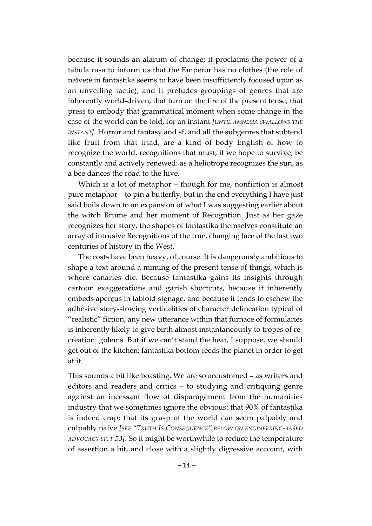because it sounds an alarum of change; it proclaims the power of a tabula rasa to inform us that the Emperor has no clothes (the role of naïveté in fantastika seems to have been insufficiently focused upon as an unveiling tactic); and it preludes groupings of genres that are inherently world-driven, that turn on the fire of the present tense, that press to embody that grammatical moment when some change in the case of the world can be told, for an instant *[UNTIL AMNESIA SWALLOWS THE INSTANT]*. Horror and fantasy and sf, and all the subgenres that subtend like fruit from that triad, are a kind of body English of how to recognize the world, recognitions that must, if we hope to survive, be constantly and actively renewed: as a heliotrope recognizes the sun, as a bee dances the road to the hive.

Which is a lot of metaphor – though for me, nonfiction is almost pure metaphor – to pin a butterfly, but in the end everything I have just said boils down to an expansion of what I was suggesting earlier about the witch Brume and her moment of Recogntion. Just as her gaze recognizes her story, the shapes of fantastika themselves constitute an array of intrusive Recognitions of the true, changing face of the last two centuries of history in the West.

The costs have been heavy, of course. It is dangerously ambitious to shape a text around a miming of the present tense of things, which is where canaries die. Because fantastika gains its insights through cartoon exaggerations and garish shortcuts, because it inherently embeds aperçus in tabloid signage, and because it tends to eschew the adhesive story-slowing verticalities of character delineation typical of "realistic" fiction, any new utterance within that furnace of formularies is inherently likely to give birth almost instantaneously to tropes of recreation: golems. But if we can't stand the heat, I suppose, we should get out of the kitchen: fantastika bottom-feeds the planet in order to get at it.

This sounds a bit like boasting. We are so accustomed – as writers and editors and readers and critics – to studying and critiquing genre against an incessant flow of disparagement from the humanities industry that we sometimes ignore the obvious: that 90% of fantastika is indeed crap; that its grasp of the world can seem palpably and culpably naive *[SEE "TRUTH IS CONSEQUENCE" BELOW ON ENGINEERING-BASED ADVOCACY SF, P.53]*. So it might be worthwhile to reduce the temperature of assertion a bit, and close with a slightly digressive account, with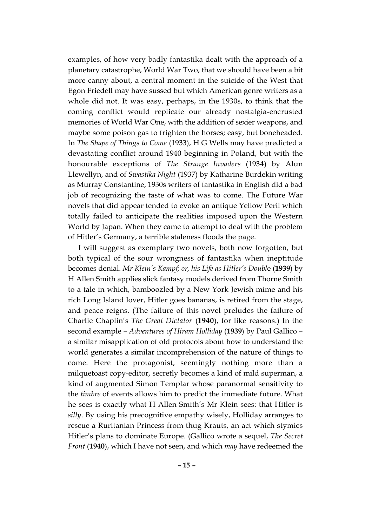examples, of how very badly fantastika dealt with the approach of a planetary catastrophe, World War Two, that we should have been a bit more canny about, a central moment in the suicide of the West that Egon Friedell may have sussed but which American genre writers as a whole did not. It was easy, perhaps, in the 1930s, to think that the coming conflict would replicate our already nostalgia-encrusted memories of World War One, with the addition of sexier weapons, and maybe some poison gas to frighten the horses; easy, but boneheaded. In *The Shape of Things to Come* (1933), H G Wells may have predicted a devastating conflict around 1940 beginning in Poland, but with the honourable exceptions of *The Strange Invaders* (1934) by Alun Llewellyn, and of *Swastika Night* (1937) by Katharine Burdekin writing as Murray Constantine, 1930s writers of fantastika in English did a bad job of recognizing the taste of what was to come. The Future War novels that did appear tended to evoke an antique Yellow Peril which totally failed to anticipate the realities imposed upon the Western World by Japan. When they came to attempt to deal with the problem of Hitler's Germany, a terrible staleness floods the page.

I will suggest as exemplary two novels, both now forgotten, but both typical of the sour wrongness of fantastika when ineptitude becomes denial. *Mr Klein's Kampf; or, his Life as Hitler's Doubl*e (**1939**) by H Allen Smith applies slick fantasy models derived from Thorne Smith to a tale in which, bamboozled by a New York Jewish mime and his rich Long Island lover, Hitler goes bananas, is retired from the stage, and peace reigns. (The failure of this novel preludes the failure of Charlie Chaplin's *The Great Dictator* (**1940**), for like reasons.) In the second example – *Adventures of Hiram Holliday* (**1939**) by Paul Gallico – a similar misapplication of old protocols about how to understand the world generates a similar incomprehension of the nature of things to come. Here the protagonist, seemingly nothing more than a milquetoast copy-editor, secretly becomes a kind of mild superman, a kind of augmented Simon Templar whose paranormal sensitivity to the *timbre* of events allows him to predict the immediate future. What he sees is exactly what H Allen Smith's Mr Klein sees: that Hitler is *silly*. By using his precognitive empathy wisely, Holliday arranges to rescue a Ruritanian Princess from thug Krauts, an act which stymies Hitler's plans to dominate Europe. (Gallico wrote a sequel, *The Secret Front* (**1940**), which I have not seen, and which *may* have redeemed the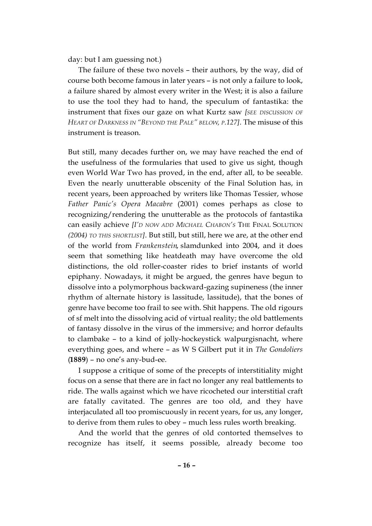day: but I am guessing not.)

The failure of these two novels – their authors, by the way, did of course both become famous in later years – is not only a failure to look, a failure shared by almost every writer in the West; it is also a failure to use the tool they had to hand, the speculum of fantastika: the instrument that fixes our gaze on what Kurtz saw *[SEE DISCUSSION OF HEART OF DARKNESS IN "BEYOND THE PALE" BELOW, P.127]*. The misuse of this instrument is treason.

But still, many decades further on, we may have reached the end of the usefulness of the formularies that used to give us sight, though even World War Two has proved, in the end, after all, to be seeable. Even the nearly unutterable obscenity of the Final Solution has, in recent years, been approached by writers like Thomas Tessier, whose *Father Panic's Opera Macabre* (2001) comes perhaps as close to recognizing/rendering the unutterable as the protocols of fantastika can easily achieve *[I'D NOW ADD MICHAEL CHABON'S* THE FINAL SOLUTION *(2004) TO THIS SHORTLIST]*. But still, but still, here we are, at the other end of the world from *Frankenstein*, slamdunked into 2004, and it does seem that something like heatdeath may have overcome the old distinctions, the old roller-coaster rides to brief instants of world epiphany. Nowadays, it might be argued, the genres have begun to dissolve into a polymorphous backward-gazing supineness (the inner rhythm of alternate history is lassitude, lassitude), that the bones of genre have become too frail to see with. Shit happens. The old rigours of sf melt into the dissolving acid of virtual reality; the old battlements of fantasy dissolve in the virus of the immersive; and horror defaults to clambake – to a kind of jolly-hockeystick walpurgisnacht, where everything goes, and where – as W S Gilbert put it in *The Gondoliers* (**1 8 8 9**) – no one's any-bud-ee.

I suppose a critique of some of the precepts of interstitiality might focus on a sense that there are in fact no longer any real battlements to ride. The walls against which we have ricocheted our interstitial craft are fatally cavitated. The genres are too old, and they have interjaculated all too promiscuously in recent years, for us, any longer, to derive from them rules to obey – much less rules worth breaking.

And the world that the genres of old contorted themselves to recognize has itself, it seems possible, already become too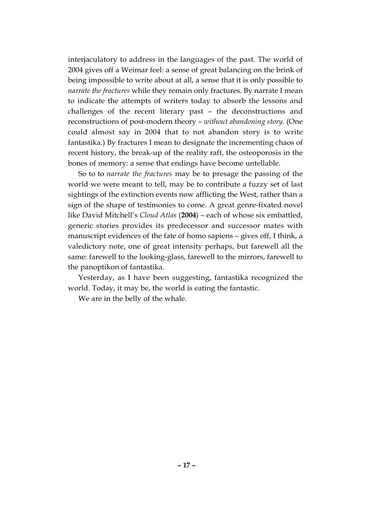interjaculatory to address in the languages of the past. The world of 2004 gives off a Weimar feel: a sense of great balancing on the brink of being impossible to write about at all, a sense that it is only possible to *narrate the fractures* while they remain only fractures. By narrate I mean to indicate the attempts of writers today to absorb the lessons and challenges of the recent literary past – the deconstructions and reconstructions of post-modern theory – *without abandoning story*. (One could almost say in 2004 that to not abandon story is to write fantastika.) By fractures I mean to designate the incrementing chaos of recent history, the break-up of the reality raft, the osteoporosis in the bones of memory: a sense that endings have become untellable.

So to to *narrate the fractures* may be to presage the passing of the world we were meant to tell, may be to contribute a fuzzy set of last sightings of the extinction events now afflicting the West, rather than a sign of the shape of testimonies to come. A great genre-fixated novel like David Mitchell's *Cloud Atlas* (**2004**) – each of whose six embattled, generic stories provides its predecessor and successor mates with manuscript evidences of the fate of homo sapiens – gives off, I think, a valedictory note, one of great intensity perhaps, but farewell all the same: farewell to the looking-glass, farewell to the mirrors, farewell to the panoptikon of fantastika.

Yesterday, as I have been suggesting, fantastika recognized the world. Today, it may be, the world is eating the fantastic.

We are in the belly of the whale.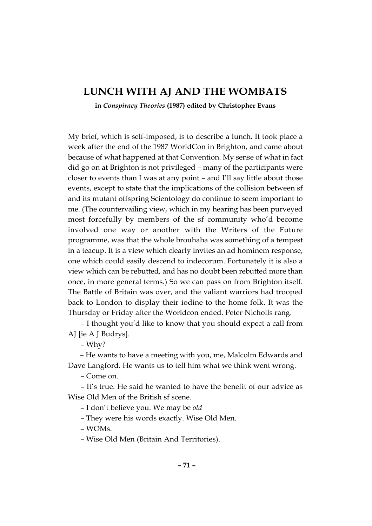## **LUNCH WITH AJ AND THE WOMBATS**

**in** *Conspiracy Theories* **(1987) edited by Christopher Evans**

My brief, which is self-imposed, is to describe a lunch. It took place a week after the end of the 1987 WorldCon in Brighton, and came about because of what happened at that Convention. My sense of what in fact did go on at Brighton is not privileged – many of the participants were closer to events than I was at any point – and I'll say little about those events, except to state that the implications of the collision between sf and its mutant offspring Scientology do continue to seem important to me. (The countervailing view, which in my hearing has been purveyed most forcefully by members of the sf community who'd become involved one way or another with the Writers of the Future programme, was that the whole brouhaha was something of a tempest in a teacup. It is a view which clearly invites an ad hominem response, one which could easily descend to indecorum. Fortunately it is also a view which can be rebutted, and has no doubt been rebutted more than once, in more general terms.) So we can pass on from Brighton itself. The Battle of Britain was over, and the valiant warriors had trooped back to London to display their iodine to the home folk. It was the Thursday or Friday after the Worldcon ended. Peter Nicholls rang.

– I thought you'd like to know that you should expect a call from AJ [ie A J Budrys].

– Why?

– He wants to have a meeting with you, me, Malcolm Edwards and Dave Langford. He wants us to tell him what we think went wrong.

– Come on.

– It's true. He said he wanted to have the benefit of our advice as Wise Old Men of the British sf scene.

– I don't believe you. We may be *old*

– They were his words exactly. Wise Old Men.

– WOMs.

– Wise Old Men (Britain And Territories).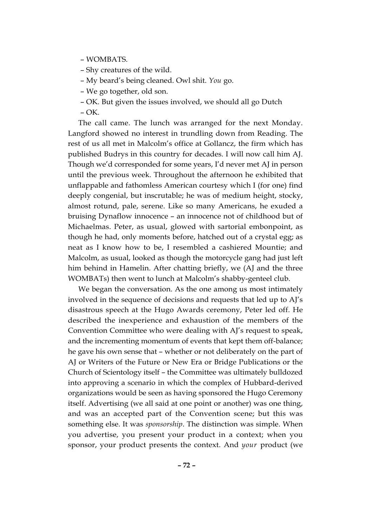- WOMBATS.
- Shy creatures of the wild.
- My beard's being cleaned. Owl shit. *You* go.
- We go together, old son.
- OK. But given the issues involved, we should all go Dutch
- OK.

The call came. The lunch was arranged for the next Monday. Langford showed no interest in trundling down from Reading. The rest of us all met in Malcolm's office at Gollancz, the firm which has published Budrys in this country for decades. I will now call him AJ. Though we'd corresponded for some years, I'd never met AJ in person until the previous week. Throughout the afternoon he exhibited that unflappable and fathomless American courtesy which I (for one) find deeply congenial, but inscrutable; he was of medium height, stocky, almost rotund, pale, serene. Like so many Americans, he exuded a bruising Dynaflow innocence – an innocence not of childhood but of Michaelmas. Peter, as usual, glowed with sartorial embonpoint, as though he had, only moments before, hatched out of a crystal egg; as neat as I know how to be, I resembled a cashiered Mountie; and Malcolm, as usual, looked as though the motorcycle gang had just left him behind in Hamelin. After chatting briefly, we (AJ and the three WOMBATs) then went to lunch at Malcolm's shabby-genteel club.

We began the conversation. As the one among us most intimately involved in the sequence of decisions and requests that led up to AJ's disastrous speech at the Hugo Awards ceremony, Peter led off. He described the inexperience and exhaustion of the members of the Convention Committee who were dealing with AJ's request to speak, and the incrementing momentum of events that kept them off-balance; he gave his own sense that – whether or not deliberately on the part of AJ or Writers of the Future or New Era or Bridge Publications or the Church of Scientology itself – the Committee was ultimately bulldozed into approving a scenario in which the complex of Hubbard-derived organizations would be seen as having sponsored the Hugo Ceremony itself. Advertising (we all said at one point or another) was one thing, and was an accepted part of the Convention scene; but this was something else. It was *sponsorship*. The distinction was simple. When you advertise, you present your product in a context; when you sponsor, your product presents the context. And *your* product (we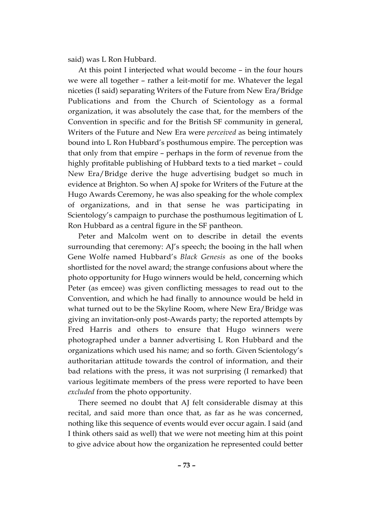said) was L Ron Hubbard.

At this point I interjected what would become – in the four hours we were all together – rather a leit-motif for me. Whatever the legal niceties (I said) separating Writers of the Future from New Era/Bridge Publications and from the Church of Scientology as a formal organization, it was absolutely the case that, for the members of the Convention in specific and for the British SF community in general, Writers of the Future and New Era were *perceived* as being intimately bound into L Ron Hubbard's posthumous empire. The perception was that only from that empire – perhaps in the form of revenue from the highly profitable publishing of Hubbard texts to a tied market – could New Era/Bridge derive the huge advertising budget so much in evidence at Brighton. So when AJ spoke for Writers of the Future at the Hugo Awards Ceremony, he was also speaking for the whole complex of organizations, and in that sense he was participating in Scientology's campaign to purchase the posthumous legitimation of L Ron Hubbard as a central figure in the SF pantheon.

Peter and Malcolm went on to describe in detail the events surrounding that ceremony: AJ's speech; the booing in the hall when Gene Wolfe named Hubbard's *Black Genesis* as one of the books shortlisted for the novel award; the strange confusions about where the photo opportunity for Hugo winners would be held, concerning which Peter (as emcee) was given conflicting messages to read out to the Convention, and which he had finally to announce would be held in what turned out to be the Skyline Room, where New Era/Bridge was giving an invitation-only post-Awards party; the reported attempts by Fred Harris and others to ensure that Hugo winners were photographed under a banner advertising L Ron Hubbard and the organizations which used his name; and so forth. Given Scientology's authoritarian attitude towards the control of information, and their bad relations with the press, it was not surprising (I remarked) that various legitimate members of the press were reported to have been *excluded* from the photo opportunity.

There seemed no doubt that AJ felt considerable dismay at this recital, and said more than once that, as far as he was concerned, nothing like this sequence of events would ever occur again. I said (and I think others said as well) that we were not meeting him at this point to give advice about how the organization he represented could better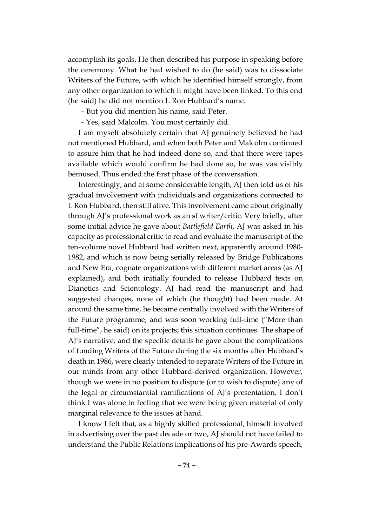accomplish its goals. He then described his purpose in speaking before the ceremony. What he had wished to do (he said) was to dissociate Writers of the Future, with which he identified himself strongly, from any other organization to which it might have been linked. To this end (he said) he did not mention L Ron Hubbard's name.

– But you did mention his name, said Peter.

– Yes, said Malcolm. You most certainly did.

I am myself absolutely certain that AJ genuinely believed he had not mentioned Hubbard, and when both Peter and Malcolm continued to assure him that he had indeed done so, and that there were tapes available which would confirm he had done so, he was vas visibly bemused. Thus ended the first phase of the conversation.

Interestingly, and at some considerable length, AJ then told us of his gradual involvement with individuals and organizations connected to L Ron Hubbard, then still alive. This involvement came about originally through AJ's professional work as an sf writer/critic. Very briefly, after some initial advice he gave about *Battlefield Earth*, AJ was asked in his capacity as professional critic to read and evaluate the manuscript of the ten-volume novel Hubbard had written next, apparently around 1980- 1982, and which is now being serially released by Bridge Publications and New Era, cognate organizations with different market areas (as AJ explained), and both initially founded to release Hubbard texts on Dianetics and Scientology. AJ had read the manuscript and had suggested changes, none of which (he thought) had been made. At around the same time, he became centrally involved with the Writers of the Future programme, and was soon working full-time ("More than full-time", he said) on its projects; this situation continues. The shape of AJ's narrative, and the specific details he gave about the complications of funding Writers of the Future during the six months after Hubbard's death in 1986, were clearly intended to separate Writers of the Future in our minds from any other Hubbard-derived organization. However, though we were in no position to dispute (or to wish to dispute) any of the legal or circumstantial ramifications of AJ's presentation, I don't think I was alone in feeling that we were being given material of only marginal relevance to the issues at hand.

I know I felt that, as a highly skilled professional, himself involved in advertising over the past decade or two, AJ should not have failed to understand the Public Relations implications of his pre-Awards speech,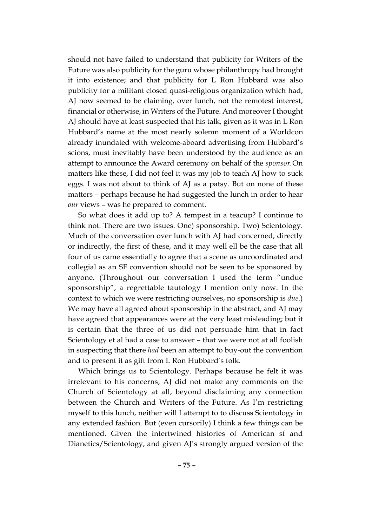should not have failed to understand that publicity for Writers of the Future was also publicity for the guru whose philanthropy had brought it into existence; and that publicity for L Ron Hubbard was also publicity for a militant closed quasi-religious organization which had, AJ now seemed to be claiming, over lunch, not the remotest interest, financial or otherwise, in Writers of the Future. And moreover I thought AJ should have at least suspected that his talk, given as it was in L Ron Hubbard's name at the most nearly solemn moment of a Worldcon already inundated with welcome-aboard advertising from Hubbard's scions, must inevitably have been understood by the audience as an attempt to announce the Award ceremony on behalf of the *sponsor*. On matters like these, I did not feel it was my job to teach AJ how to suck eggs. I was not about to think of AJ as a patsy. But on none of these matters – perhaps because he had suggested the lunch in order to hear *our* views – was he prepared to comment.

So what does it add up to? A tempest in a teacup? I continue to think not. There are two issues. One) sponsorship. Two) Scientology. Much of the conversation over lunch with AJ had concerned, directly or indirectly, the first of these, and it may well ell be the case that all four of us came essentially to agree that a scene as uncoordinated and collegial as an SF convention should not be seen to be sponsored by anyone. (Throughout our conversation I used the term "undue sponsorship", a regrettable tautology I mention only now. In the context to which we were restricting ourselves, no sponsorship is *due*.) We may have all agreed about sponsorship in the abstract, and AJ may have agreed that appearances were at the very least misleading; but it is certain that the three of us did not persuade him that in fact Scientology et al had a case to answer – that we were not at all foolish in suspecting that there *had* been an attempt to buy-out the convention and to present it as gift from L Ron Hubbard's folk.

Which brings us to Scientology. Perhaps because he felt it was irrelevant to his concerns, AJ did not make any comments on the Church of Scientology at all, beyond disclaiming any connection between the Church and Writers of the Future. As I'm restricting myself to this lunch, neither will I attempt to to discuss Scientology in any extended fashion. But (even cursorily) I think a few things can be mentioned. Given the intertwined histories of American sf and Dianetics/Scientology, and given AJ's strongly argued version of the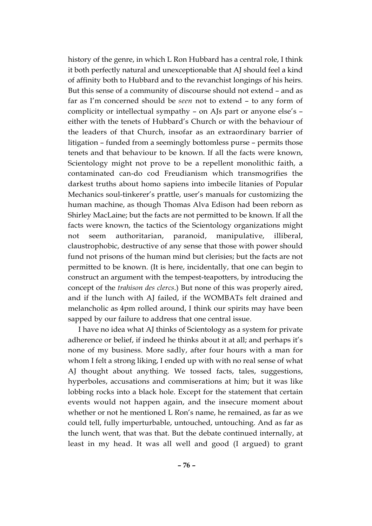history of the genre, in which L Ron Hubbard has a central role, I think it both perfectly natural and unexceptionable that AJ should feel a kind of affinity both to Hubbard and to the revanchist longings of his heirs. But this sense of a community of discourse should not extend – and as far as I'm concerned should be *seen* not to extend – to any form of complicity or intellectual sympathy – on AJs part or anyone else's – either with the tenets of Hubbard's Church or with the behaviour of the leaders of that Church, insofar as an extraordinary barrier of litigation – funded from a seemingly bottomless purse – permits those tenets and that behaviour to be known. If all the facts were known, Scientology might not prove to be a repellent monolithic faith, a contaminated can-do cod Freudianism which transmogrifies the darkest truths about homo sapiens into imbecile litanies of Popular Mechanics soul-tinkerer's prattle, user's manuals for customizing the human machine, as though Thomas Alva Edison had been reborn as Shirley MacLaine; but the facts are not permitted to be known. If all the facts were known, the tactics of the Scientology organizations might not seem authoritarian, paranoid, manipulative, illiberal, claustrophobic, destructive of any sense that those with power should fund not prisons of the human mind but clerisies; but the facts are not permitted to be known. (It is here, incidentally, that one can begin to construct an argument with the tempest-teapotters, by introducing the concept of the *trahison des clercs*.) But none of this was properly aired, and if the lunch with AJ failed, if the WOMBATs felt drained and melancholic as 4pm rolled around, I think our spirits may have been sapped by our failure to address that one central issue.

I have no idea what AJ thinks of Scientology as a system for private adherence or belief, if indeed he thinks about it at all; and perhaps it's none of my business. More sadly, after four hours with a man for whom I felt a strong liking, I ended up with with no real sense of what AJ thought about anything. We tossed facts, tales, suggestions, hyperboles, accusations and commiserations at him; but it was like lobbing rocks into a black hole. Except for the statement that certain events would not happen again, and the insecure moment about whether or not he mentioned L Ron's name, he remained, as far as we could tell, fully imperturbable, untouched, untouching. And as far as the lunch went, that was that. But the debate continued internally, at least in my head. It was all well and good (I argued) to grant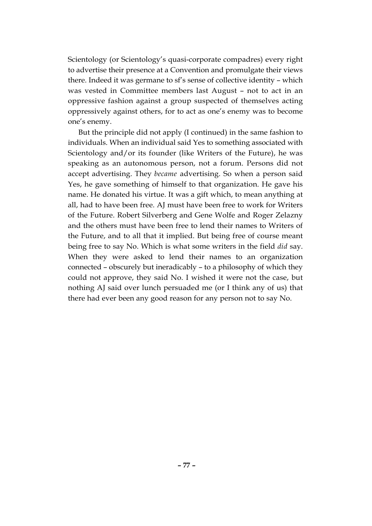Scientology (or Scientology's quasi-corporate compadres) every right to advertise their presence at a Convention and promulgate their views there. Indeed it was germane to sf's sense of collective identity – which was vested in Committee members last August – not to act in an oppressive fashion against a group suspected of themselves acting oppressively against others, for to act as one's enemy was to become one's enemy.

But the principle did not apply (I continued) in the same fashion to individuals. When an individual said Yes to something associated with Scientology and/or its founder (like Writers of the Future), he was speaking as an autonomous person, not a forum. Persons did not accept advertising. They *became* advertising. So when a person said Yes, he gave something of himself to that organization. He gave his name. He donated his virtue. It was a gift which, to mean anything at all, had to have been free. AJ must have been free to work for Writers of the Future. Robert Silverberg and Gene Wolfe and Roger Zelazny and the others must have been free to lend their names to Writers of the Future, and to all that it implied. But being free of course meant being free to say No. Which is what some writers in the field *did* say. When they were asked to lend their names to an organization connected – obscurely but ineradicably – to a philosophy of which they could not approve, they said No. I wished it were not the case, but nothing AJ said over lunch persuaded me (or I think any of us) that there had ever been any good reason for any person not to say No.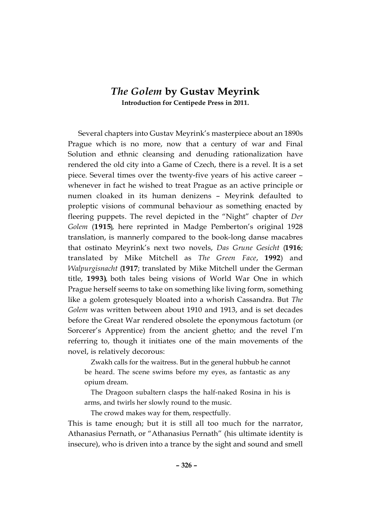## *The Golem* **by Gustav Meyrink Introduction for Centipede Press in 2011.**

Several chapters into Gustav Meyrink's masterpiece about an 1890s Prague which is no more, now that a century of war and Final Solution and ethnic cleansing and denuding rationalization have rendered the old city into a Game of Czech, there is a revel. It is a set piece. Several times over the twenty-five years of his active career – whenever in fact he wished to treat Prague as an active principle or numen cloaked in its human denizens – Meyrink defaulted to proleptic visions of communal behaviour as something enacted by fleering puppets. The revel depicted in the "Night" chapter of *Der* Golem (1915), here reprinted in Madge Pemberton's original 1928 translation, is mannerly compared to the book-long danse macabres that ostinato Meyrink's next two novels, *Das Grune Gesicht* (**1 9 1 6**; translated by Mike Mitchell as *The Green Face*, **1 9 9 2**) and *Walpurgisnacht* (1917; translated by Mike Mitchell under the German title, 1993), both tales being visions of World War One in which Prague herself seems to take on something like living form, something like a golem grotesquely bloated into a whorish Cassandra. But *The* Golem was written between about 1910 and 1913, and is set decades before the Great War rendered obsolete the eponymous factotum (or Sorcerer's Apprentice) from the ancient ghetto; and the revel I'm referring to, though it initiates one of the main movements of the novel, is relatively decorous:

Zwakh calls for the waitress. But in the general hubbub he cannot be heard. The scene swims before my eyes, as fantastic as any opium dream.

The Dragoon subaltern clasps the half-naked Rosina in his is arms, and twirls her slowly round to the music.

The crowd makes way for them, respectfully.

This is tame enough; but it is still all too much for the narrator, Athanasius Pernath, or "Athanasius Pernath" (his ultimate identity is insecure), who is driven into a trance by the sight and sound and smell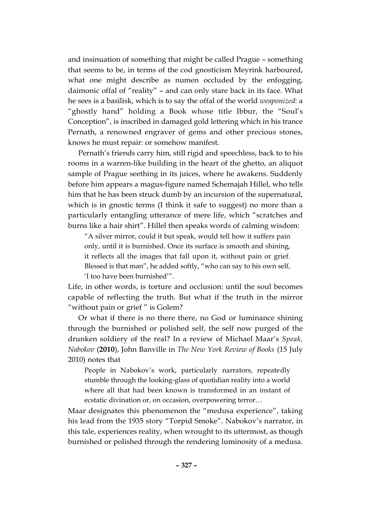and insinuation of something that might be called Prague – something that seems to be, in terms of the cod gnosticism Meyrink harboured, what one might describe as numen occluded by the enfogging, daimonic offal of "reality" – and can only stare back in its face. What he sees is a basilisk, which is to say the offal of the world *weaponized*: a "ghostly hand" holding a Book whose title Ibbur, the "Soul's Conception", is inscribed in damaged gold lettering which in his trance Pernath, a renowned engraver of gems and other precious stones, knows he must repair: or somehow manifest.

Pernath's friends carry him, still rigid and speechless, back to to his rooms in a warren-like building in the heart of the ghetto, an aliquot sample of Prague seething in its juices, where he awakens. Suddenly before him appears a magus-figure named Schemajah Hillel, who tells him that he has been struck dumb by an incursion of the supernatural, which is in gnostic terms (I think it safe to suggest) no more than a particularly entangling utterance of mere life, which "scratches and burns like a hair shirt". Hillel then speaks words of calming wisdom:

"A silver mirror, could it but speak, would tell how it suffers pain only, until it is burnished. Once its surface is smooth and shining, it reflects all the images that fall upon it, without pain or grief. Blessed is that man", he added softly, "who can say to his own self, 'I too have been burnished'".

Life, in other words, is torture and occlusion: until the soul becomes capable of reflecting the truth. But what if the truth in the mirror "without pain or grief " is Golem?

Or what if there is no there there, no God or luminance shining through the burnished or polished self, the self now purged of the drunken soldiery of the real? In a review of Michael Maar's *Speak, Nabokov* (**2010**), John Banville in *The New York Review of Books* (15 July 2010) notes that

People in Nabokov's work, particularly narrators, repeatedly stumble through the looking-glass of quotidian reality into a world where all that had been known is transformed in an instant of ecstatic divination or, on occasion, overpowering terror…

Maar designates this phenomenon the "medusa experience", taking his lead from the 1935 story "Torpid Smoke". Nabokov's narrator, in this tale, experiences reality, when wrought to its uttermost, as though burnished or polished through the rendering luminosity of a medusa.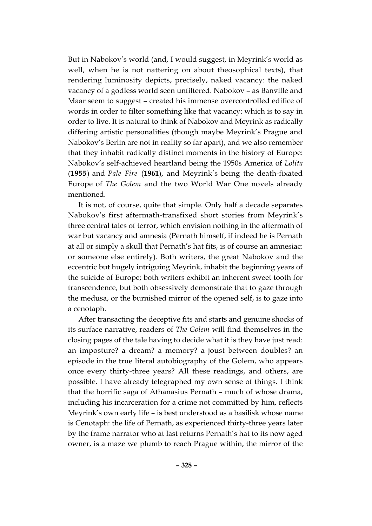But in Nabokov's world (and, I would suggest, in Meyrink's world as well, when he is not nattering on about theosophical texts), that rendering luminosity depicts, precisely, naked vacancy: the naked vacancy of a godless world seen unfiltered. Nabokov – as Banville and Maar seem to suggest – created his immense overcontrolled edifice of words in order to filter something like that vacancy: which is to say in order to live. It is natural to think of Nabokov and Meyrink as radically differing artistic personalities (though maybe Meyrink's Prague and Nabokov's Berlin are not in reality so far apart), and we also remember that they inhabit radically distinct moments in the history of Europe: Nabokov's self-achieved heartland being the 1950s America of *Lolita* (**1955**) and *Pale Fire* (**1961**), and Meyrink's being the death-fixated Europe of *The Golem* and the two World War One novels already mentioned.

It is not, of course, quite that simple. Only half a decade separates Nabokov's first aftermath-transfixed short stories from Meyrink's three central tales of terror, which envision nothing in the aftermath of war but vacancy and amnesia (Pernath himself, if indeed he is Pernath at all or simply a skull that Pernath's hat fits, is of course an amnesiac: or someone else entirely). Both writers, the great Nabokov and the eccentric but hugely intriguing Meyrink, inhabit the beginning years of the suicide of Europe; both writers exhibit an inherent sweet tooth for transcendence, but both obsessively demonstrate that to gaze through the medusa, or the burnished mirror of the opened self, is to gaze into a cenotaph.

After transacting the deceptive fits and starts and genuine shocks of its surface narrative, readers of *The Golem* will find themselves in the closing pages of the tale having to decide what it is they have just read: an imposture? a dream? a memory? a joust between doubles? an episode in the true literal autobiography of the Golem, who appears once every thirty-three years? All these readings, and others, are possible. I have already telegraphed my own sense of things. I think that the horrific saga of Athanasius Pernath – much of whose drama, including his incarceration for a crime not committed by him, reflects Meyrink's own early life – is best understood as a basilisk whose name is Cenotaph: the life of Pernath, as experienced thirty-three years later by the frame narrator who at last returns Pernath's hat to its now aged owner, is a maze we plumb to reach Prague within, the mirror of the